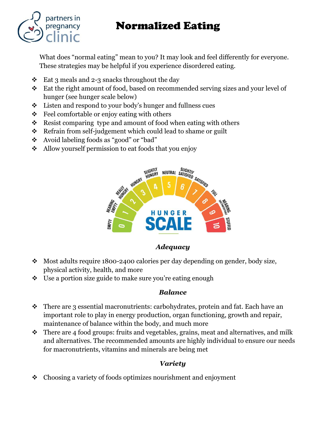# Normalized Eating



What does "normal eating" mean to you? It may look and feel differently for everyone. These strategies may be helpful if you experience disordered eating.

- $\div$  Eat 3 meals and 2-3 snacks throughout the day
- \* Eat the right amount of food, based on recommended serving sizes and your level of hunger (see hunger scale below)
- Listen and respond to your body's hunger and fullness cues
- $\div$  Feel comfortable or enjoy eating with others
- $\triangleleft$  Resist comparing type and amount of food when eating with others
- \* Refrain from self-judgement which could lead to shame or guilt
- Avoid labeling foods as "good" or "bad"
- Allow yourself permission to eat foods that you enjoy



#### *Adequacy*

- Most adults require 1800-2400 calories per day depending on gender, body size, physical activity, health, and more
- $\bullet$  Use a portion size guide to make sure you're eating enough

### *Balance*

- $\cdot \cdot$  There are 3 essential macronutrients: carbohydrates, protein and fat. Each have an important role to play in energy production, organ functioning, growth and repair, maintenance of balance within the body, and much more
- $\triangle$  There are 4 food groups: fruits and vegetables, grains, meat and alternatives, and milk and alternatives. The recommended amounts are highly individual to ensure our needs for macronutrients, vitamins and minerals are being met

### *Variety*

Choosing a variety of foods optimizes nourishment and enjoyment